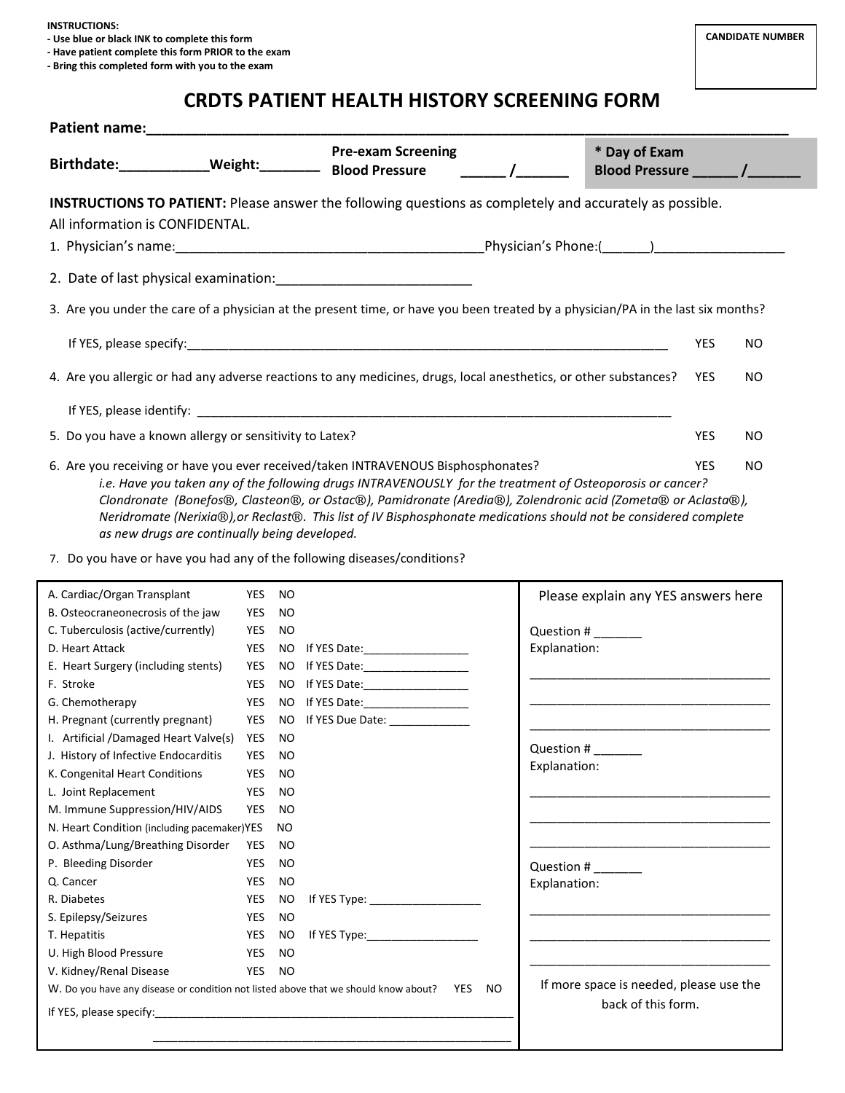**INSTRUCTIONS:**

**- Use blue or black INK to complete this form**

**- Have patient complete this form PRIOR to the exam**

**- Bring this completed form with you to the exam**

## **CRDTS PATIENT HEALTH HISTORY SCREENING FORM**

| Birthdate:____________Weight:____________ Blood Pressure                                                                                                                                                                                                                                                                                   |                   |                        | <b>Pre-exam Screening</b>                                                                                                                                                                                                                                                                                                                      | $\overline{a}$ | * Day of Exam<br>Blood Pressure ________ /________                                                                    |            |           |
|--------------------------------------------------------------------------------------------------------------------------------------------------------------------------------------------------------------------------------------------------------------------------------------------------------------------------------------------|-------------------|------------------------|------------------------------------------------------------------------------------------------------------------------------------------------------------------------------------------------------------------------------------------------------------------------------------------------------------------------------------------------|----------------|-----------------------------------------------------------------------------------------------------------------------|------------|-----------|
| <b>INSTRUCTIONS TO PATIENT:</b> Please answer the following questions as completely and accurately as possible.<br>All information is CONFIDENTAL.                                                                                                                                                                                         |                   |                        |                                                                                                                                                                                                                                                                                                                                                |                |                                                                                                                       |            |           |
|                                                                                                                                                                                                                                                                                                                                            |                   |                        |                                                                                                                                                                                                                                                                                                                                                |                |                                                                                                                       |            |           |
| 3. Are you under the care of a physician at the present time, or have you been treated by a physician/PA in the last six months?                                                                                                                                                                                                           |                   |                        |                                                                                                                                                                                                                                                                                                                                                |                |                                                                                                                       |            |           |
|                                                                                                                                                                                                                                                                                                                                            |                   |                        |                                                                                                                                                                                                                                                                                                                                                |                |                                                                                                                       | <b>YES</b> | <b>NO</b> |
| 4. Are you allergic or had any adverse reactions to any medicines, drugs, local anesthetics, or other substances?                                                                                                                                                                                                                          |                   |                        |                                                                                                                                                                                                                                                                                                                                                |                |                                                                                                                       | YES        | <b>NO</b> |
|                                                                                                                                                                                                                                                                                                                                            |                   |                        |                                                                                                                                                                                                                                                                                                                                                |                |                                                                                                                       |            |           |
| 5. Do you have a known allergy or sensitivity to Latex?                                                                                                                                                                                                                                                                                    |                   |                        |                                                                                                                                                                                                                                                                                                                                                |                |                                                                                                                       | YES        | <b>NO</b> |
| 6. Are you receiving or have you ever received/taken INTRAVENOUS Bisphosphonates?<br>as new drugs are continually being developed.<br>7. Do you have or have you had any of the following diseases/conditions?                                                                                                                             |                   |                        | i.e. Have you taken any of the following drugs INTRAVENOUSLY for the treatment of Osteoporosis or cancer?<br>Clondronate (Bonefos®, Clasteon®, or Ostac®), Pamidronate (Aredia®), Zolendronic acid (Zometa® or Aclasta®),<br>Neridromate (Nerixia®), or Reclast®. This list of IV Bisphosphonate medications should not be considered complete |                |                                                                                                                       | <b>YES</b> | NO.       |
|                                                                                                                                                                                                                                                                                                                                            |                   |                        |                                                                                                                                                                                                                                                                                                                                                |                |                                                                                                                       |            |           |
|                                                                                                                                                                                                                                                                                                                                            |                   |                        |                                                                                                                                                                                                                                                                                                                                                |                |                                                                                                                       |            |           |
|                                                                                                                                                                                                                                                                                                                                            | YES<br><b>YES</b> | <b>NO</b><br><b>NO</b> |                                                                                                                                                                                                                                                                                                                                                |                | Please explain any YES answers here                                                                                   |            |           |
|                                                                                                                                                                                                                                                                                                                                            | YES               | <b>NO</b>              |                                                                                                                                                                                                                                                                                                                                                |                |                                                                                                                       |            |           |
|                                                                                                                                                                                                                                                                                                                                            | YES               |                        | NO If YES Date: ___________________                                                                                                                                                                                                                                                                                                            | Explanation:   | Question #                                                                                                            |            |           |
|                                                                                                                                                                                                                                                                                                                                            |                   |                        |                                                                                                                                                                                                                                                                                                                                                |                |                                                                                                                       |            |           |
|                                                                                                                                                                                                                                                                                                                                            | YES               |                        | YES NO If YES Date: ____________________<br>NO If YES Date:___________________                                                                                                                                                                                                                                                                 |                |                                                                                                                       |            |           |
| A. Cardiac/Organ Transplant<br>B. Osteocraneonecrosis of the jaw<br>C. Tuberculosis (active/currently)<br>D. Heart Attack<br>E. Heart Surgery (including stents)<br>F. Stroke<br>G. Chemotherapy                                                                                                                                           | YES               |                        | NO If YES Date: 1990 11:00:00 16:00:00 16:00:00 16:00:00 16:00:00 17:00:00 17:00:00 17:00:00 17:00:00 17:00:00                                                                                                                                                                                                                                 |                |                                                                                                                       |            |           |
|                                                                                                                                                                                                                                                                                                                                            | YES               |                        | NO If YES Due Date: ______________                                                                                                                                                                                                                                                                                                             |                | <u> 1980 - Johann Harry Harry Harry Harry Harry Harry Harry Harry Harry Harry Harry Harry Harry Harry Harry Harry</u> |            |           |
| H. Pregnant (currently pregnant)<br>I. Artificial /Damaged Heart Valve(s) YES NO                                                                                                                                                                                                                                                           |                   |                        |                                                                                                                                                                                                                                                                                                                                                |                |                                                                                                                       |            |           |
|                                                                                                                                                                                                                                                                                                                                            | YES               | NO                     |                                                                                                                                                                                                                                                                                                                                                |                | Question #                                                                                                            |            |           |
|                                                                                                                                                                                                                                                                                                                                            | <b>YES</b>        | <b>NO</b>              |                                                                                                                                                                                                                                                                                                                                                | Explanation:   |                                                                                                                       |            |           |
|                                                                                                                                                                                                                                                                                                                                            | YES               | <b>NO</b>              |                                                                                                                                                                                                                                                                                                                                                |                |                                                                                                                       |            |           |
|                                                                                                                                                                                                                                                                                                                                            | YES               | <b>NO</b>              |                                                                                                                                                                                                                                                                                                                                                |                |                                                                                                                       |            |           |
|                                                                                                                                                                                                                                                                                                                                            |                   | <b>NO</b>              |                                                                                                                                                                                                                                                                                                                                                |                |                                                                                                                       |            |           |
|                                                                                                                                                                                                                                                                                                                                            | YES               | <b>NO</b>              |                                                                                                                                                                                                                                                                                                                                                |                |                                                                                                                       |            |           |
|                                                                                                                                                                                                                                                                                                                                            | YES               | <b>NO</b>              |                                                                                                                                                                                                                                                                                                                                                |                | Question #                                                                                                            |            |           |
|                                                                                                                                                                                                                                                                                                                                            | <b>YES</b>        | <b>NO</b>              |                                                                                                                                                                                                                                                                                                                                                | Explanation:   |                                                                                                                       |            |           |
|                                                                                                                                                                                                                                                                                                                                            | YES               | <b>NO</b>              |                                                                                                                                                                                                                                                                                                                                                |                |                                                                                                                       |            |           |
|                                                                                                                                                                                                                                                                                                                                            | YES               | <b>NO</b>              |                                                                                                                                                                                                                                                                                                                                                |                |                                                                                                                       |            |           |
|                                                                                                                                                                                                                                                                                                                                            | <b>YES</b>        | <b>NO</b>              | If $YES$ Type: $\blacksquare$                                                                                                                                                                                                                                                                                                                  |                |                                                                                                                       |            |           |
| J. History of Infective Endocarditis<br>K. Congenital Heart Conditions<br>L. Joint Replacement<br>M. Immune Suppression/HIV/AIDS<br>N. Heart Condition (including pacemaker)YES<br>O. Asthma/Lung/Breathing Disorder<br>P. Bleeding Disorder<br>Q. Cancer<br>R. Diabetes<br>S. Epilepsy/Seizures<br>T. Hepatitis<br>U. High Blood Pressure | YES               | <b>NO</b>              |                                                                                                                                                                                                                                                                                                                                                |                |                                                                                                                       |            |           |
| V. Kidney/Renal Disease<br>W. Do you have any disease or condition not listed above that we should know about?                                                                                                                                                                                                                             | YES               | NO                     | YES NO                                                                                                                                                                                                                                                                                                                                         |                | If more space is needed, please use the                                                                               |            |           |

**CANDIDATE NUMBER**